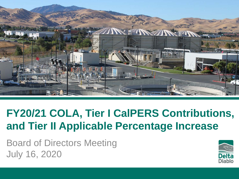

#### **FY20/21 COLA, Tier I CalPERS Contributions, and Tier II Applicable Percentage Increase**

Board of Directors Meeting July 16, 2020

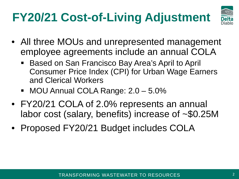# **FY20/21 Cost-of-Living Adjustment**



- All three MOUs and unrepresented management employee agreements include an annual COLA
	- Based on San Francisco Bay Area's April to April Consumer Price Index (CPI) for Urban Wage Earners and Clerical Workers
	- **MOU Annual COLA Range: 2.0 5.0%**
- FY20/21 COLA of 2.0% represents an annual labor cost (salary, benefits) increase of ~\$0.25M
- Proposed FY20/21 Budget includes COLA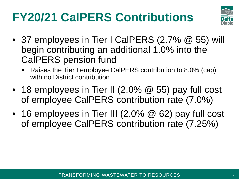## **FY20/21 CalPERS Contributions**



- 37 employees in Tier I CalPERS (2.7% @ 55) will begin contributing an additional 1.0% into the CalPERS pension fund
	- Raises the Tier I employee CalPERS contribution to 8.0% (cap) with no District contribution
- 18 employees in Tier II (2.0% @ 55) pay full cost of employee CalPERS contribution rate (7.0%)
- 16 employees in Tier III (2.0% @ 62) pay full cost of employee CalPERS contribution rate (7.25%)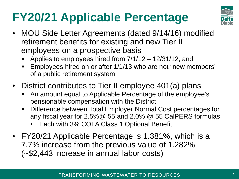## **FY20/21 Applicable Percentage**



- MOU Side Letter Agreements (dated 9/14/16) modified retirement benefits for existing and new Tier II employees on a prospective basis
	- Applies to employees hired from  $7/1/12 12/31/12$ , and
	- Employees hired on or after 1/1/13 who are not "new members" of a public retirement system
- District contributes to Tier II employee 401(a) plans
	- An amount equal to Applicable Percentage of the employee's pensionable compensation with the District
	- **Difference between Total Employer Normal Cost percentages for** any fiscal year for 2.5%@ 55 and 2.0% @ 55 CalPERS formulas
		- Each with 3% COLA Class 1 Optional Benefit
- FY20/21 Applicable Percentage is 1.381%, which is a 7.7% increase from the previous value of 1.282% (~\$2,443 increase in annual labor costs)